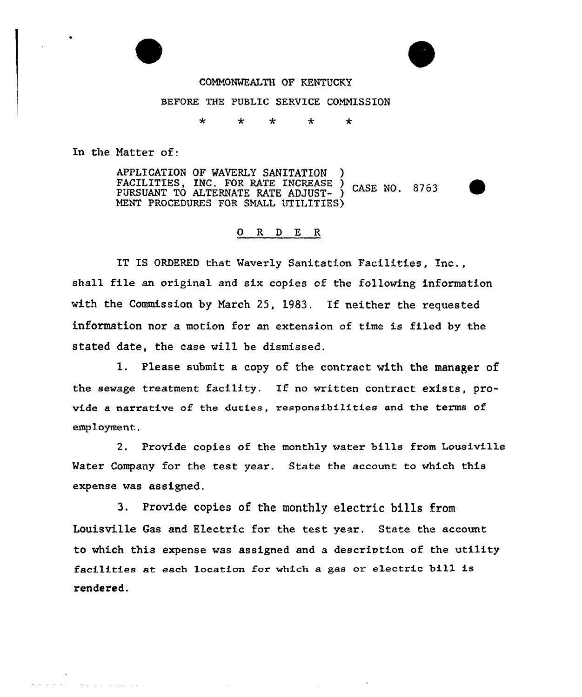

#### COMMONWEALTH OF KENTUCKY

#### BEFORE THE PUBLIC SERVICE CONNISSION

 $\star$  $\star$  $\star$  $\ddot{\star}$  $\star$ 

In the Natter of:

فالمناسب والمتحدث والمتحدث والمتحدث

APPLICATION OF WAVERLY SANITATION FACILITIES, INC. FOR RATE INCREASE ) CASE NO. 8763 PURSUANT TO ALTERNATE RATE ADJUST- ) MENT PROCEDURES FOR SHALL UTILITIES)

#### 0 R <sup>D</sup> E R

IT IS ORDERED that Waverly Sanitation Facilities, Inc,, shall file an original and six copies of the following information with the Commission by March 25, 1983. If neither the requested information nor a motion for an extension of time is filed by the stated date, the case will be dismissed.

1. Please submit a copy of the contract with the manager of the sewage treatment facility. If no written contract exists, provide a narrative of the duties, responsibilities and the terms of employment.

2. Provide copies of the monthly water bills from Lousiville Water Company for the test year. State the account to which this expense was assigned.

3. Provide copies of the monthly electric bills from Louisville Gas and Electric for the test year. State the account to which this expense was assigned and a description of the utility facilities at each location for which a gas or electric bill is rendered.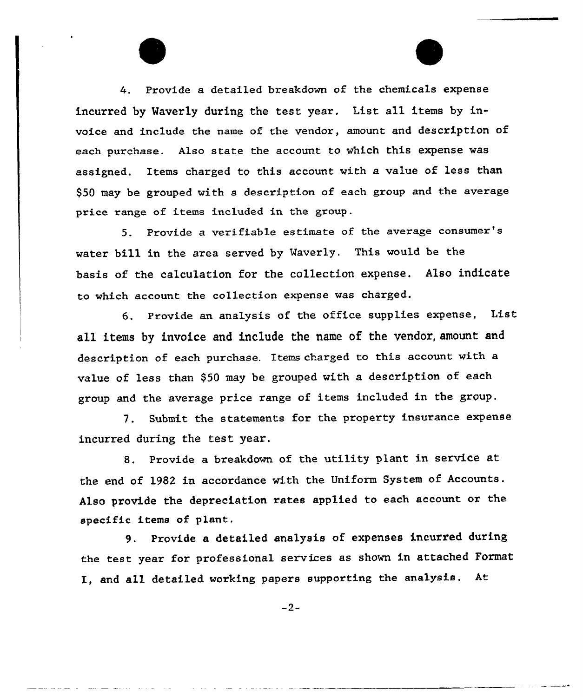Provide a detailed breakdown of the chemicals expense incurred by Waverly during the test year. List a11 items by invoice and include the name of the vendor, amount and description of each purchase. Also state the account to which this expense was assigned. Items charged to this account with a value of less than \$50 may be grouped with a description of each group and the average price range of items included in the group.

5. Provide a verifiable estimate of the average consumer' water bill in the area served by Maverly. This would be the basis of the calculation for the collection expense. Also indicate to which account the collection expense was charged.

6. Provide an analysis of the office supplies expense, List all items by invoice and include the name of the vendor, amount and description of each purchase. Items charged to this account with a value of less than \$50 may be grouped with a description of each group and the average price range of items included in the group,

7. Submit. the statements for the property insurance expense incurred during the test year.

8. Provide a breakdown of the utility plant in service at the end of 1982 in accordance with the Uniform System of Accounts. Also provide the depreciation rates applied to each account or the specific items of plant.

9. Provide a detailed analysis of expenses incurred during the test year for professional services as shown in attached Format I, and all detailed working papers supporting the analysis. At

 $-2-$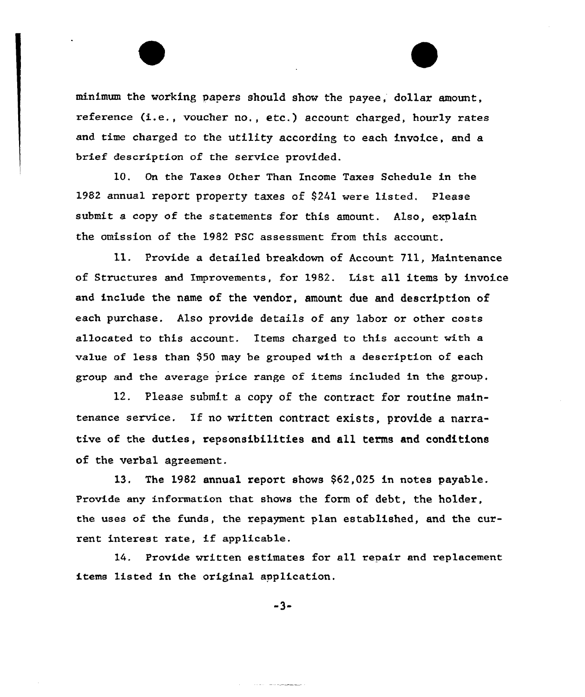minimum the working papers should show the payee, dollar amount, reference (i.e., voucher no., etc.) account charged, hourly rates and time charged to the utility according to each invoice, and a brief description of the service provided.

10. On the Taxes Other Than Income Taxes Schedule in the 1982 annual report property taxes of \$241 were listed. Please submit a copy of the statements for this amount. Also, explain the omission of the 1982 PSC assessment from this account.

ll. Provide <sup>a</sup> detailed breakdown of Account 711, Maintenance of Structuxes and Impxovements, for 1982. List all items by invoice and include the name of the vendor, amount due and description of each purchase. Also provide details of any labor or other costs allocated to this account. Items charged to this account with a value of less than \$50 may be grouped with a description of each group and the average price range of items included in the group,

12. Please submit a copy of the contract for routine maintenance service. If no written contract exists, provide a narrative of the duties, repsonsibilities and all terms and conditions of the verbal agreement.

13. The 1982 annual report shows \$62,025 in notes payable. Provide any information that shows the form of debt, the holder, the uses of the funds, the repayment plan established, and the current interest rate, if applicable.

14. Provide written estimates for all repair and replacement items listed in the original application.

 $-3-$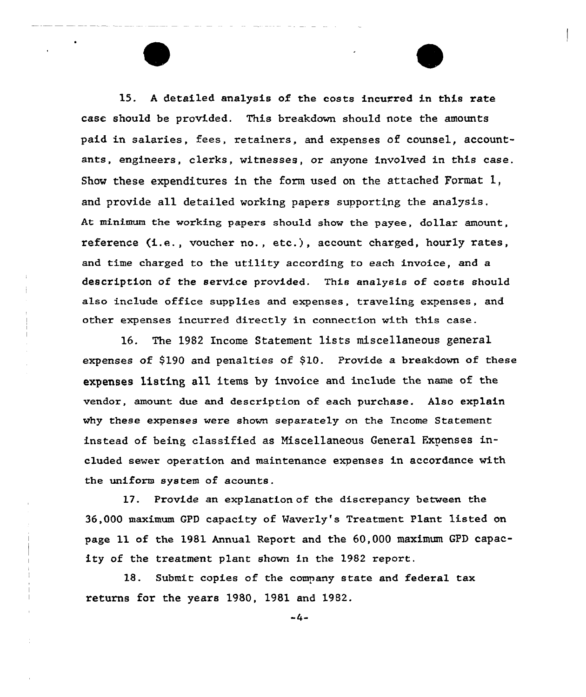15. <sup>A</sup> detailed analysis of the costs incurred in this rate case should be provided. This breakdown should note the amounts paid in salaries, fees, retainers, and expenses of counsel, accountants, engineers, clerks, witnesses, or anyone involved in this case. Show these expenditures in the form used on the attached Format 1, and provide all detailed working papers supporting the analysis, At minimum the working papers should show the payee, dollar amount, reference (i.e., voucher no., etc.), account charged, hourly rates, and time charged to the utility according to each invoice, and a description of the service provided. This analysis of costs should also include office supplies and expenses, traveling expenses, and other expenses incurred directly in connection with this case.

16. The 1982 Income Statement 1ists miscellaneous general expenses of \$190 and penalties of \$10. Provide a breakdown of these expenses listing all items by invoice and include the name of the vendor, amount due and description of each purchase. Also explain why these expenses were shown separately on the Income Statement instead of being classified as Nisce11aneous General Expenses included sewer operation and maintenance expenses in accordance with the uniform system of acounts.

17. Provide an explanation of the discrepancy between the 36,000 maximum GPD capacity of Waverly's Treatment Plant listed on page 11 of the 1981 Annual Report and the 60,000 maximum GPD capacity of the treatment plant shown in the 1982 report.

18. Submit copies of the company state and federal tax returns for the years 1980, 1981 and 1982.

-4-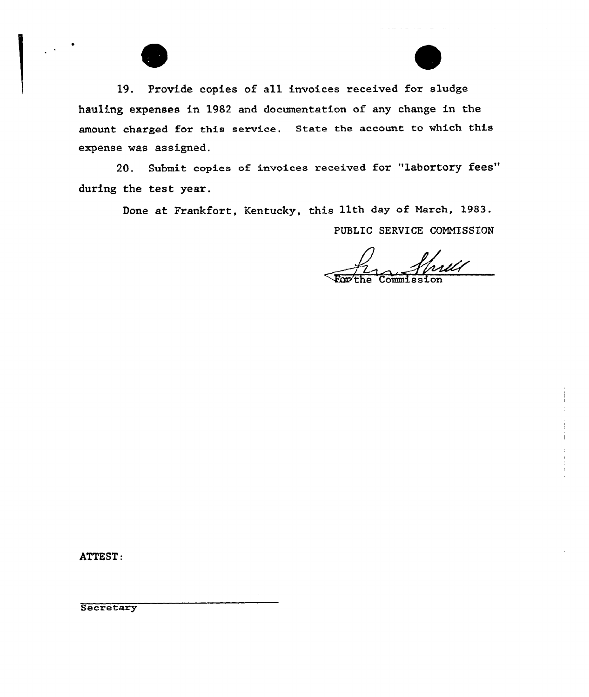19. Provide copies of all invoices received for sludge hauling expenses in 1982 and documentation of any change in the amount charged for this service. State the account to which this expense was assigned.

20. Submit copies of invoices received for "labortory fees" during the test year.

Done at Frankfort, Kentucky, this 11th day of March, 1983.

PUBLIC SERVICE COMMISSION

 $\overline{\text{Comn}}$ issio

ATTEST:

Secretary